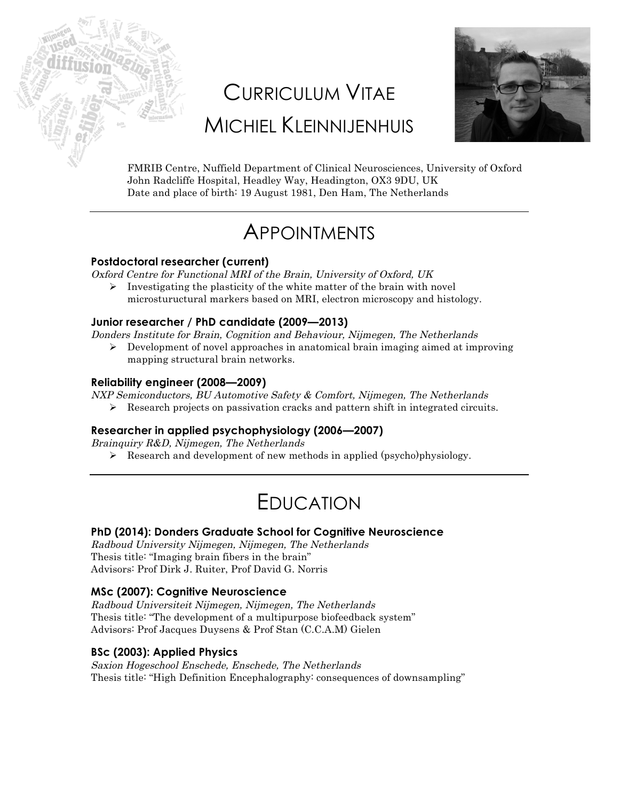# CURRICULUM VITAE MICHIEL KLEINNIJENHUIS



FMRIB Centre, Nuffield Department of Clinical Neurosciences, University of Oxford John Radcliffe Hospital, Headley Way, Headington, OX3 9DU, UK Date and place of birth: 19 August 1981, Den Ham, The Netherlands

# **APPOINTMENTS**

### **Postdoctoral researcher (current)**

Oxford Centre for Functional MRI of the Brain, University of Oxford, UK

 $\triangleright$  Investigating the plasticity of the white matter of the brain with novel microstuructural markers based on MRI, electron microscopy and histology.

### **Junior researcher / PhD candidate (2009—2013)**

Donders Institute for Brain, Cognition and Behaviour, Nijmegen, The Netherlands

 $\triangleright$  Development of novel approaches in anatomical brain imaging aimed at improving mapping structural brain networks.

### **Reliability engineer (2008—2009)**

NXP Semiconductors, BU Automotive Safety & Comfort, Nijmegen, The Netherlands

 $\triangleright$  Research projects on passivation cracks and pattern shift in integrated circuits.

# **Researcher in applied psychophysiology (2006—2007)**

Brainquiry R&D, Nijmegen, The Netherlands

 $\triangleright$  Research and development of new methods in applied (psycho)physiology.

# EDUCATION

# **PhD (2014): Donders Graduate School for Cognitive Neuroscience**

Radboud University Nijmegen, Nijmegen, The Netherlands Thesis title: "Imaging brain fibers in the brain" Advisors: Prof Dirk J. Ruiter, Prof David G. Norris

# **MSc (2007): Cognitive Neuroscience**

Radboud Universiteit Nijmegen, Nijmegen, The Netherlands Thesis title: "The development of a multipurpose biofeedback system" Advisors: Prof Jacques Duysens & Prof Stan (C.C.A.M) Gielen

### **BSc (2003): Applied Physics**

Saxion Hogeschool Enschede, Enschede, The Netherlands Thesis title: "High Definition Encephalography: consequences of downsampling"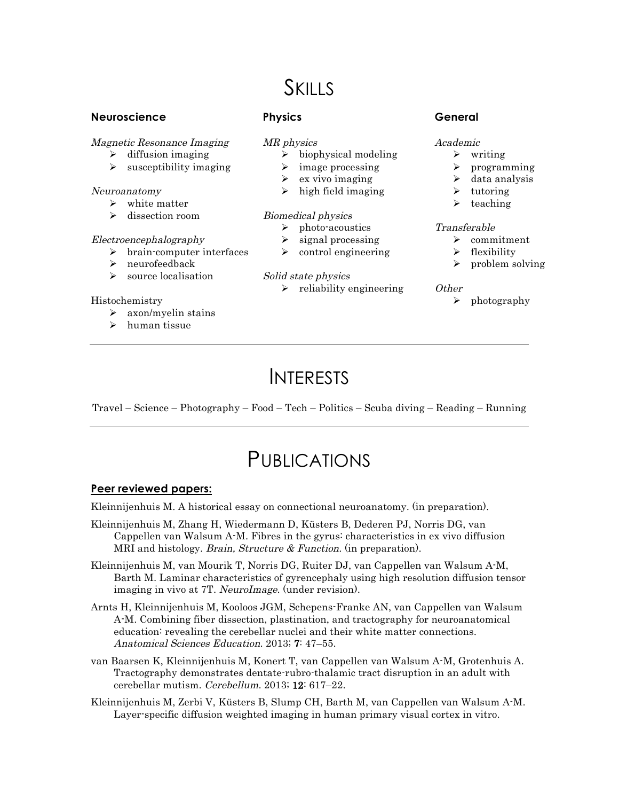# **SKILLS**

#### **Neuroscience**

Magnetic Resonance Imaging

- $\triangleright$  diffusion imaging
- $\triangleright$  susceptibility imaging

#### Neuroanatomy

- $\triangleright$  white matter
- $\triangleright$  dissection room

#### Electroencephalography

- $\triangleright$  brain-computer interfaces
- $\triangleright$  neurofeedback
- $\triangleright$  source localisation

#### Histochemistry

- $\triangleright$  axon/myelin stains
- $\triangleright$  human tissue

# **Physics**

#### MR physics

- $\triangleright$  biophysical modeling
- $\triangleright$  image processing
- $\triangleright$  ex vivo imaging
- $\triangleright$  high field imaging

#### Biomedical physics

- $\triangleright$  photo-acoustics
- $\triangleright$  signal processing
- $\triangleright$  control engineering

#### Solid state physics

 $\triangleright$  reliability engineering

### **General**

- Academic
	- $\triangleright$  writing
	- Ø programming
	- $\blacktriangleright$  data analysis
	- $\triangleright$  tutoring
	- $\triangleright$  teaching

#### Transferable

- $\triangleright$  commitment
- flexibility
- $\triangleright$  problem solving

#### Other

 $\triangleright$  photography

# **INTERESTS**

Travel – Science – Photography – Food – Tech – Politics – Scuba diving – Reading – Running

# PUBLICATIONS

#### **Peer reviewed papers:**

Kleinnijenhuis M. A historical essay on connectional neuroanatomy. (in preparation).

Kleinnijenhuis M, Zhang H, Wiedermann D, Küsters B, Dederen PJ, Norris DG, van Cappellen van Walsum A-M. Fibres in the gyrus: characteristics in ex vivo diffusion MRI and histology. *Brain, Structure & Function*. (in preparation).

Kleinnijenhuis M, van Mourik T, Norris DG, Ruiter DJ, van Cappellen van Walsum A-M, Barth M. Laminar characteristics of gyrencephaly using high resolution diffusion tensor imaging in vivo at 7T. NeuroImage. (under revision).

- Arnts H, Kleinnijenhuis M, Kooloos JGM, Schepens-Franke AN, van Cappellen van Walsum A-M. Combining fiber dissection, plastination, and tractography for neuroanatomical education: revealing the cerebellar nuclei and their white matter connections. Anatomical Sciences Education. 2013; 7: 47–55.
- van Baarsen K, Kleinnijenhuis M, Konert T, van Cappellen van Walsum A-M, Grotenhuis A. Tractography demonstrates dentate-rubro-thalamic tract disruption in an adult with cerebellar mutism. Cerebellum. 2013; 12: 617–22.
- Kleinnijenhuis M, Zerbi V, Küsters B, Slump CH, Barth M, van Cappellen van Walsum A-M. Layer-specific diffusion weighted imaging in human primary visual cortex in vitro.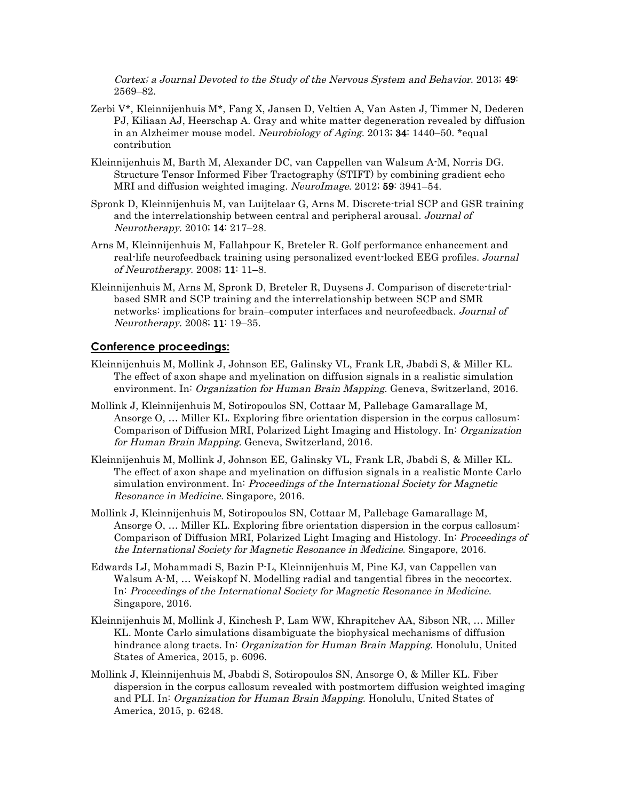Cortex; a Journal Devoted to the Study of the Nervous System and Behavior. 2013; 49: 2569–82.

- Zerbi V\*, Kleinnijenhuis M\*, Fang X, Jansen D, Veltien A, Van Asten J, Timmer N, Dederen PJ, Kiliaan AJ, Heerschap A. Gray and white matter degeneration revealed by diffusion in an Alzheimer mouse model. Neurobiology of Aging. 2013; 34: 1440–50. \*equal contribution
- Kleinnijenhuis M, Barth M, Alexander DC, van Cappellen van Walsum A-M, Norris DG. Structure Tensor Informed Fiber Tractography (STIFT) by combining gradient echo MRI and diffusion weighted imaging. NeuroImage. 2012; 59: 3941–54.
- Spronk D, Kleinnijenhuis M, van Luijtelaar G, Arns M. Discrete-trial SCP and GSR training and the interrelationship between central and peripheral arousal. Journal of Neurotherapy. 2010; 14: 217–28.
- Arns M, Kleinnijenhuis M, Fallahpour K, Breteler R. Golf performance enhancement and real-life neurofeedback training using personalized event-locked EEG profiles. Journal of Neurotherapy. 2008; 11: 11–8.
- Kleinnijenhuis M, Arns M, Spronk D, Breteler R, Duysens J. Comparison of discrete-trialbased SMR and SCP training and the interrelationship between SCP and SMR networks: implications for brain–computer interfaces and neurofeedback. Journal of Neurotherapy. 2008; 11: 19–35.

#### **Conference proceedings:**

- Kleinnijenhuis M, Mollink J, Johnson EE, Galinsky VL, Frank LR, Jbabdi S, & Miller KL. The effect of axon shape and myelination on diffusion signals in a realistic simulation environment. In: Organization for Human Brain Mapping. Geneva, Switzerland, 2016.
- Mollink J, Kleinnijenhuis M, Sotiropoulos SN, Cottaar M, Pallebage Gamarallage M, Ansorge O, … Miller KL. Exploring fibre orientation dispersion in the corpus callosum: Comparison of Diffusion MRI, Polarized Light Imaging and Histology. In: Organization for Human Brain Mapping. Geneva, Switzerland, 2016.
- Kleinnijenhuis M, Mollink J, Johnson EE, Galinsky VL, Frank LR, Jbabdi S, & Miller KL. The effect of axon shape and myelination on diffusion signals in a realistic Monte Carlo simulation environment. In: Proceedings of the International Society for Magnetic Resonance in Medicine. Singapore, 2016.
- Mollink J, Kleinnijenhuis M, Sotiropoulos SN, Cottaar M, Pallebage Gamarallage M, Ansorge O, … Miller KL. Exploring fibre orientation dispersion in the corpus callosum: Comparison of Diffusion MRI, Polarized Light Imaging and Histology. In: Proceedings of the International Society for Magnetic Resonance in Medicine. Singapore, 2016.
- Edwards LJ, Mohammadi S, Bazin P-L, Kleinnijenhuis M, Pine KJ, van Cappellen van Walsum A-M, ... Weiskopf N. Modelling radial and tangential fibres in the neocortex. In: Proceedings of the International Society for Magnetic Resonance in Medicine. Singapore, 2016.
- Kleinnijenhuis M, Mollink J, Kinchesh P, Lam WW, Khrapitchev AA, Sibson NR, … Miller KL. Monte Carlo simulations disambiguate the biophysical mechanisms of diffusion hindrance along tracts. In: *Organization for Human Brain Mapping*. Honolulu, United States of America, 2015, p. 6096.
- Mollink J, Kleinnijenhuis M, Jbabdi S, Sotiropoulos SN, Ansorge O, & Miller KL. Fiber dispersion in the corpus callosum revealed with postmortem diffusion weighted imaging and PLI. In: Organization for Human Brain Mapping. Honolulu, United States of America, 2015, p. 6248.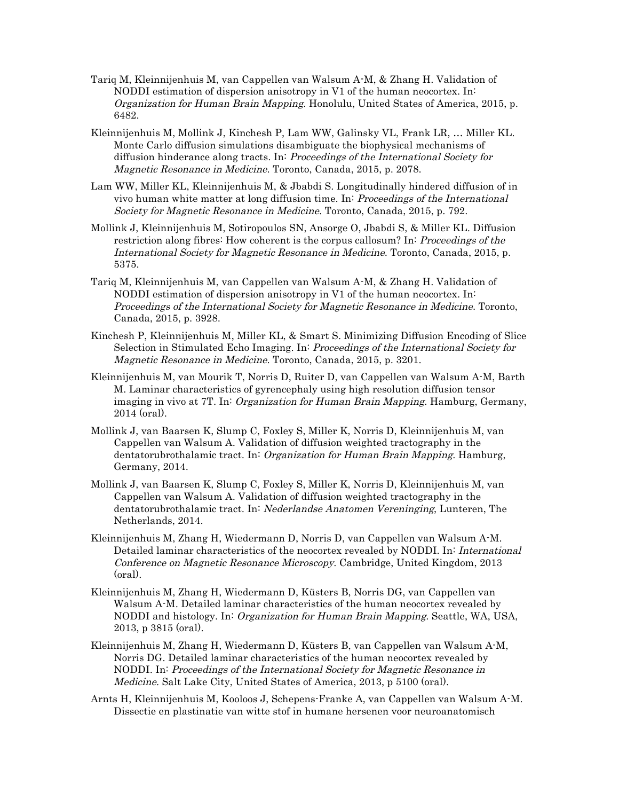- Tariq M, Kleinnijenhuis M, van Cappellen van Walsum A-M, & Zhang H. Validation of NODDI estimation of dispersion anisotropy in V1 of the human neocortex. In: Organization for Human Brain Mapping. Honolulu, United States of America, 2015, p. 6482.
- Kleinnijenhuis M, Mollink J, Kinchesh P, Lam WW, Galinsky VL, Frank LR, … Miller KL. Monte Carlo diffusion simulations disambiguate the biophysical mechanisms of diffusion hinderance along tracts. In: Proceedings of the International Society for Magnetic Resonance in Medicine. Toronto, Canada, 2015, p. 2078.
- Lam WW, Miller KL, Kleinnijenhuis M, & Jbabdi S. Longitudinally hindered diffusion of in vivo human white matter at long diffusion time. In: Proceedings of the International Society for Magnetic Resonance in Medicine. Toronto, Canada, 2015, p. 792.
- Mollink J, Kleinnijenhuis M, Sotiropoulos SN, Ansorge O, Jbabdi S, & Miller KL. Diffusion restriction along fibres: How coherent is the corpus callosum? In: Proceedings of the International Society for Magnetic Resonance in Medicine. Toronto, Canada, 2015, p. 5375.
- Tariq M, Kleinnijenhuis M, van Cappellen van Walsum A-M, & Zhang H. Validation of NODDI estimation of dispersion anisotropy in V1 of the human neocortex. In: Proceedings of the International Society for Magnetic Resonance in Medicine. Toronto, Canada, 2015, p. 3928.
- Kinchesh P, Kleinnijenhuis M, Miller KL, & Smart S. Minimizing Diffusion Encoding of Slice Selection in Stimulated Echo Imaging. In: Proceedings of the International Society for Magnetic Resonance in Medicine. Toronto, Canada, 2015, p. 3201.
- Kleinnijenhuis M, van Mourik T, Norris D, Ruiter D, van Cappellen van Walsum A-M, Barth M. Laminar characteristics of gyrencephaly using high resolution diffusion tensor imaging in vivo at 7T. In: Organization for Human Brain Mapping. Hamburg, Germany, 2014 (oral).
- Mollink J, van Baarsen K, Slump C, Foxley S, Miller K, Norris D, Kleinnijenhuis M, van Cappellen van Walsum A. Validation of diffusion weighted tractography in the dentatorubrothalamic tract. In: Organization for Human Brain Mapping. Hamburg, Germany, 2014.
- Mollink J, van Baarsen K, Slump C, Foxley S, Miller K, Norris D, Kleinnijenhuis M, van Cappellen van Walsum A. Validation of diffusion weighted tractography in the dentatorubrothalamic tract. In: Nederlandse Anatomen Vereninging, Lunteren, The Netherlands, 2014.
- Kleinnijenhuis M, Zhang H, Wiedermann D, Norris D, van Cappellen van Walsum A-M. Detailed laminar characteristics of the neocortex revealed by NODDI. In: International Conference on Magnetic Resonance Microscopy. Cambridge, United Kingdom, 2013 (oral).
- Kleinnijenhuis M, Zhang H, Wiedermann D, Küsters B, Norris DG, van Cappellen van Walsum A-M. Detailed laminar characteristics of the human neocortex revealed by NODDI and histology. In: Organization for Human Brain Mapping. Seattle, WA, USA, 2013, p 3815 (oral).
- Kleinnijenhuis M, Zhang H, Wiedermann D, Küsters B, van Cappellen van Walsum A-M, Norris DG. Detailed laminar characteristics of the human neocortex revealed by NODDI. In: Proceedings of the International Society for Magnetic Resonance in Medicine. Salt Lake City, United States of America, 2013, p 5100 (oral).
- Arnts H, Kleinnijenhuis M, Kooloos J, Schepens-Franke A, van Cappellen van Walsum A-M. Dissectie en plastinatie van witte stof in humane hersenen voor neuroanatomisch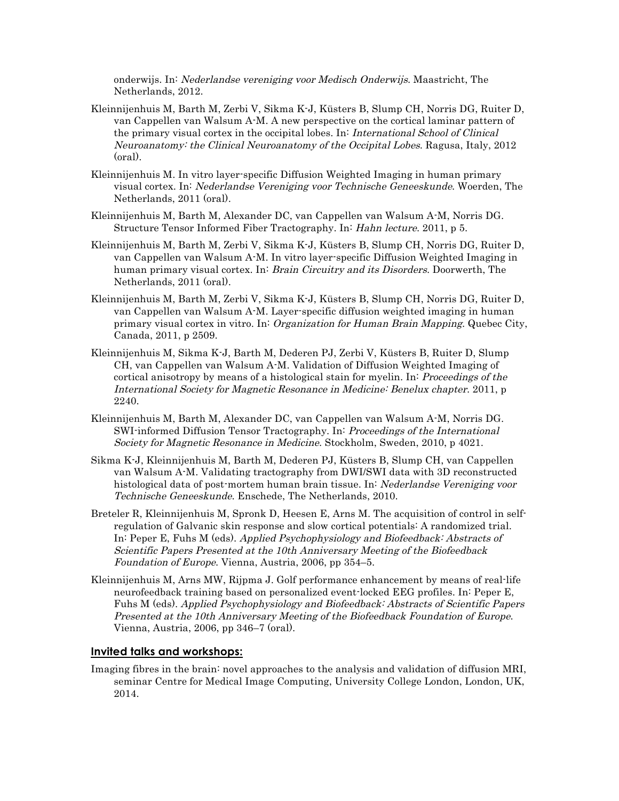onderwijs. In: Nederlandse vereniging voor Medisch Onderwijs. Maastricht, The Netherlands, 2012.

- Kleinnijenhuis M, Barth M, Zerbi V, Sikma K-J, Küsters B, Slump CH, Norris DG, Ruiter D, van Cappellen van Walsum A-M. A new perspective on the cortical laminar pattern of the primary visual cortex in the occipital lobes. In: International School of Clinical Neuroanatomy: the Clinical Neuroanatomy of the Occipital Lobes. Ragusa, Italy, 2012 (oral).
- Kleinnijenhuis M. In vitro layer-specific Diffusion Weighted Imaging in human primary visual cortex. In: Nederlandse Vereniging voor Technische Geneeskunde. Woerden, The Netherlands, 2011 (oral).
- Kleinnijenhuis M, Barth M, Alexander DC, van Cappellen van Walsum A-M, Norris DG. Structure Tensor Informed Fiber Tractography. In: Hahn lecture. 2011, p 5.
- Kleinnijenhuis M, Barth M, Zerbi V, Sikma K-J, Küsters B, Slump CH, Norris DG, Ruiter D, van Cappellen van Walsum A-M. In vitro layer-specific Diffusion Weighted Imaging in human primary visual cortex. In: Brain Circuitry and its Disorders. Doorwerth, The Netherlands, 2011 (oral).
- Kleinnijenhuis M, Barth M, Zerbi V, Sikma K-J, Küsters B, Slump CH, Norris DG, Ruiter D, van Cappellen van Walsum A-M. Layer-specific diffusion weighted imaging in human primary visual cortex in vitro. In: Organization for Human Brain Mapping. Quebec City, Canada, 2011, p 2509.
- Kleinnijenhuis M, Sikma K-J, Barth M, Dederen PJ, Zerbi V, Küsters B, Ruiter D, Slump CH, van Cappellen van Walsum A-M. Validation of Diffusion Weighted Imaging of cortical anisotropy by means of a histological stain for myelin. In: Proceedings of the International Society for Magnetic Resonance in Medicine: Benelux chapter. 2011, p 2240.
- Kleinnijenhuis M, Barth M, Alexander DC, van Cappellen van Walsum A-M, Norris DG. SWI-informed Diffusion Tensor Tractography. In: Proceedings of the International Society for Magnetic Resonance in Medicine. Stockholm, Sweden, 2010, p 4021.
- Sikma K-J, Kleinnijenhuis M, Barth M, Dederen PJ, Küsters B, Slump CH, van Cappellen van Walsum A-M. Validating tractography from DWI/SWI data with 3D reconstructed histological data of post-mortem human brain tissue. In: Nederlandse Vereniging voor Technische Geneeskunde. Enschede, The Netherlands, 2010.
- Breteler R, Kleinnijenhuis M, Spronk D, Heesen E, Arns M. The acquisition of control in selfregulation of Galvanic skin response and slow cortical potentials: A randomized trial. In: Peper E, Fuhs M (eds). Applied Psychophysiology and Biofeedback: Abstracts of Scientific Papers Presented at the 10th Anniversary Meeting of the Biofeedback Foundation of Europe. Vienna, Austria, 2006, pp 354–5.
- Kleinnijenhuis M, Arns MW, Rijpma J. Golf performance enhancement by means of real-life neurofeedback training based on personalized event-locked EEG profiles. In: Peper E, Fuhs M (eds). Applied Psychophysiology and Biofeedback: Abstracts of Scientific Papers Presented at the 10th Anniversary Meeting of the Biofeedback Foundation of Europe. Vienna, Austria, 2006, pp 346–7 (oral).

#### **Invited talks and workshops:**

Imaging fibres in the brain: novel approaches to the analysis and validation of diffusion MRI, seminar Centre for Medical Image Computing, University College London, London, UK, 2014.